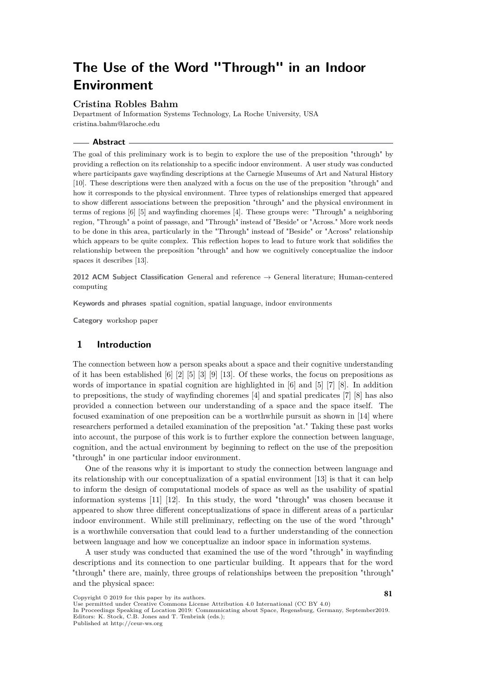# **The Use of the Word "Through" in an Indoor Environment**

### **Cristina Robles Bahm**

Department of Information Systems Technology, La Roche University, USA [cristina.bahm@laroche.edu](mailto:cristina.bahm@laroche.edu)

#### **Abstract**

The goal of this preliminary work is to begin to explore the use of the preposition "through" by providing a reflection on its relationship to a specific indoor environment. A user study was conducted where participants gave wayfinding descriptions at the Carnegie Museums of Art and Natural History [\[10\]](#page-8-0). These descriptions were then analyzed with a focus on the use of the preposition "through" and how it corresponds to the physical environment. Three types of relationships emerged that appeared to show different associations between the preposition "through" and the physical environment in terms of regions [\[6\]](#page-8-1) [\[5\]](#page-8-2) and wayfinding choremes [\[4\]](#page-8-3). These groups were: "Through" a neighboring region, "Through" a point of passage, and "Through" instead of "Beside" or "Across." More work needs to be done in this area, particularly in the "Through" instead of "Beside" or "Across" relationship which appears to be quite complex. This reflection hopes to lead to future work that solidifies the relationship between the preposition "through" and how we cognitively conceptualize the indoor spaces it describes [\[13\]](#page-8-4).

**2012 ACM Subject Classification** General and reference → General literature; Human-centered computing

**Keywords and phrases** spatial cognition, spatial language, indoor environments

**Category** workshop paper

## **1 Introduction**

The connection between how a person speaks about a space and their cognitive understanding of it has been established  $\lceil 6 \rceil \lceil 2 \rceil \lceil 5 \rceil \lceil 3 \rceil \lceil 9 \rceil \lceil 13 \rceil$ . Of these works, the focus on prepositions as words of importance in spatial cognition are highlighted in [\[6\]](#page-8-1) and [\[5\]](#page-8-2) [\[7\]](#page-8-7) [\[8\]](#page-8-8). In addition to prepositions, the study of wayfinding choremes [\[4\]](#page-8-3) and spatial predicates [\[7\]](#page-8-7) [\[8\]](#page-8-8) has also provided a connection between our understanding of a space and the space itself. The focused examination of one preposition can be a worthwhile pursuit as shown in [\[14\]](#page-8-9) where researchers performed a detailed examination of the preposition "at." Taking these past works into account, the purpose of this work is to further explore the connection between language, cognition, and the actual environment by beginning to reflect on the use of the preposition "through" in one particular indoor environment.

One of the reasons why it is important to study the connection between language and its relationship with our conceptualization of a spatial environment [\[13\]](#page-8-4) is that it can help to inform the design of computational models of space as well as the usability of spatial information systems [\[11\]](#page-8-10) [\[12\]](#page-8-11). In this study, the word "through" was chosen because it appeared to show three different conceptualizations of space in different areas of a particular indoor environment. While still preliminary, reflecting on the use of the word "through" is a worthwhile conversation that could lead to a further understanding of the connection between language and how we conceptualize an indoor space in information systems.

A user study was conducted that examined the use of the word "through" in wayfinding descriptions and its connection to one particular building. It appears that for the word "through" there are, mainly, three groups of relationships between the preposition "through" and the physical space:

Copyright © 2019 for this paper by its authors.

Use permitted under Creative Commons License Attribution 4.0 International (CC BY 4.0)

In Proceedings Speaking of Location 2019: Communicating about Space, Regensburg, Germany, September2019. Editors: K. Stock, C.B. Jones and T. Tenbrink (eds.);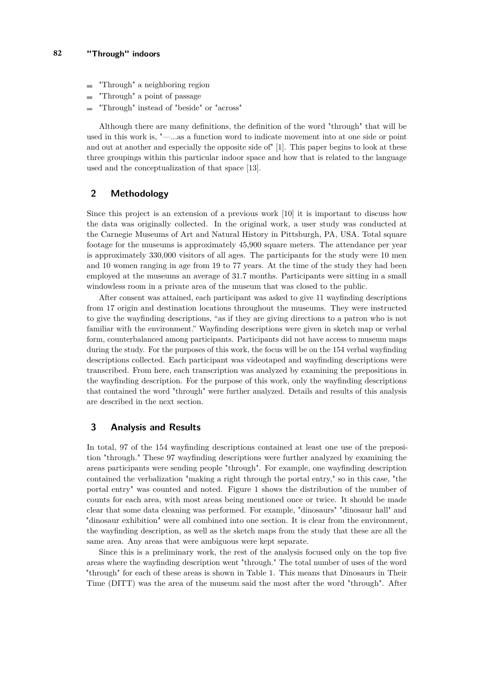- "Through" a neighboring region  $\blacksquare$
- "Through" a point of passage
- "Through" instead of "beside" or "across"

Although there are many definitions, the definition of the word "through" that will be used in this work is, "—...as a function word to indicate movement into at one side or point and out at another and especially the opposite side of" [\[1\]](#page-7-1). This paper begins to look at these three groupings within this particular indoor space and how that is related to the language used and the conceptualization of that space [\[13\]](#page-8-4).

# **2 Methodology**

Since this project is an extension of a previous work [\[10\]](#page-8-0) it is important to discuss how the data was originally collected. In the original work, a user study was conducted at the Carnegie Museums of Art and Natural History in Pittsburgh, PA, USA. Total square footage for the museums is approximately 45,900 square meters. The attendance per year is approximately 330,000 visitors of all ages. The participants for the study were 10 men and 10 women ranging in age from 19 to 77 years. At the time of the study they had been employed at the museums an average of 31.7 months. Participants were sitting in a small windowless room in a private area of the museum that was closed to the public.

After consent was attained, each participant was asked to give 11 wayfinding descriptions from 17 origin and destination locations throughout the museums. They were instructed to give the wayfinding descriptions, "as if they are giving directions to a patron who is not familiar with the environment." Wayfinding descriptions were given in sketch map or verbal form, counterbalanced among participants. Participants did not have access to museum maps during the study. For the purposes of this work, the focus will be on the 154 verbal wayfinding descriptions collected. Each participant was videotaped and wayfinding descriptions were transcribed. From here, each transcription was analyzed by examining the prepositions in the wayfinding description. For the purpose of this work, only the wayfinding descriptions that contained the word "through" were further analyzed. Details and results of this analysis are described in the next section.

## **3 Analysis and Results**

In total, 97 of the 154 wayfinding descriptions contained at least one use of the preposition "through." These 97 wayfinding descriptions were further analyzed by examining the areas participants were sending people "through". For example, one wayfinding description contained the verbalization "making a right through the portal entry," so in this case, "the portal entry" was counted and noted. Figure 1 shows the distribution of the number of counts for each area, with most areas being mentioned once or twice. It should be made clear that some data cleaning was performed. For example, "dinosaurs" "dinosaur hall" and "dinosaur exhibition" were all combined into one section. It is clear from the environment, the wayfinding description, as well as the sketch maps from the study that these are all the same area. Any areas that were ambiguous were kept separate.

Since this is a preliminary work, the rest of the analysis focused only on the top five areas where the wayfinding description went "through." The total number of uses of the word "through" for each of these areas is shown in Table 1. This means that Dinosaurs in Their Time (DITT) was the area of the museum said the most after the word "through". After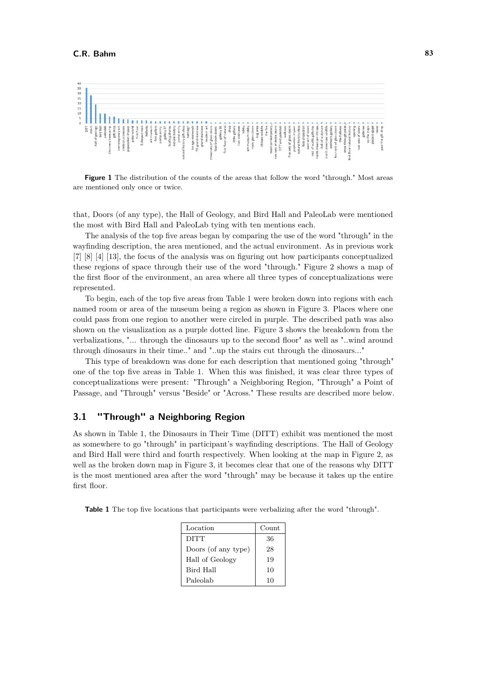

**Figure 1** The distribution of the counts of the areas that follow the word "through." Most areas are mentioned only once or twice.

that, Doors (of any type), the Hall of Geology, and Bird Hall and PaleoLab were mentioned the most with Bird Hall and PaleoLab tying with ten mentions each.

The analysis of the top five areas began by comparing the use of the word "through" in the wayfinding description, the area mentioned, and the actual environment. As in previous work [\[7\]](#page-8-7) [\[8\]](#page-8-8) [\[4\]](#page-8-3) [\[13\]](#page-8-4), the focus of the analysis was on figuring out how participants conceptualized these regions of space through their use of the word "through." Figure 2 shows a map of the first floor of the environment, an area where all three types of conceptualizations were represented.

To begin, each of the top five areas from Table 1 were broken down into regions with each named room or area of the museum being a region as shown in Figure 3. Places where one could pass from one region to another were circled in purple. The described path was also shown on the visualization as a purple dotted line. Figure 3 shows the breakdown from the verbalizations, "... through the dinosaurs up to the second floor" as well as "..wind around through dinosaurs in their time.." and "..up the stairs cut through the dinosaurs..."

This type of breakdown was done for each description that mentioned going "through" one of the top five areas in Table 1. When this was finished, it was clear three types of conceptualizations were present: "Through" a Neighboring Region, "Through" a Point of Passage, and "Through" versus "Beside" or "Across." These results are described more below.

# **3.1 "Through" a Neighboring Region**

As shown in Table 1, the Dinosaurs in Their Time (DITT) exhibit was mentioned the most as somewhere to go "through" in participant's wayfinding descriptions. The Hall of Geology and Bird Hall were third and fourth respectively. When looking at the map in Figure 2, as well as the broken down map in Figure 3, it becomes clear that one of the reasons why DITT is the most mentioned area after the word "through" may be because it takes up the entire first floor.

**Table 1** The top five locations that participants were verbalizing after the word "through".

| Location            | Count |
|---------------------|-------|
| <b>DITT</b>         | 36    |
| Doors (of any type) | 28    |
| Hall of Geology     | 19    |
| Bird Hall           | 10    |
| Paleolab            | 10    |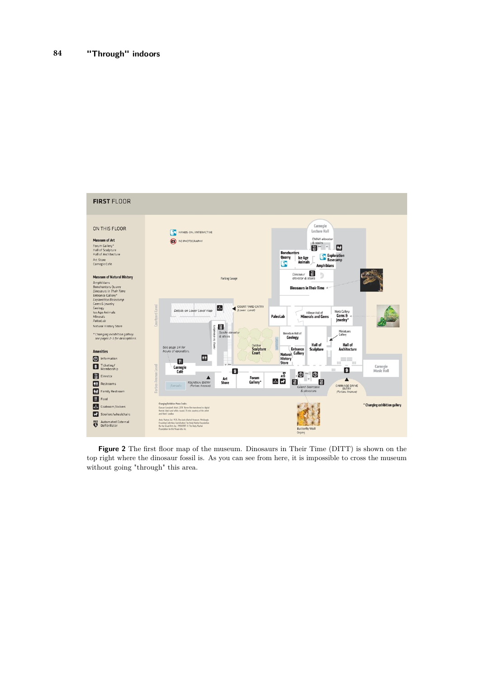

**Figure 2** The first floor map of the museum. Dinosaurs in Their Time (DITT) is shown on the top right where the dinosaur fossil is. As you can see from here, it is impossible to cross the museum without going "through" this area.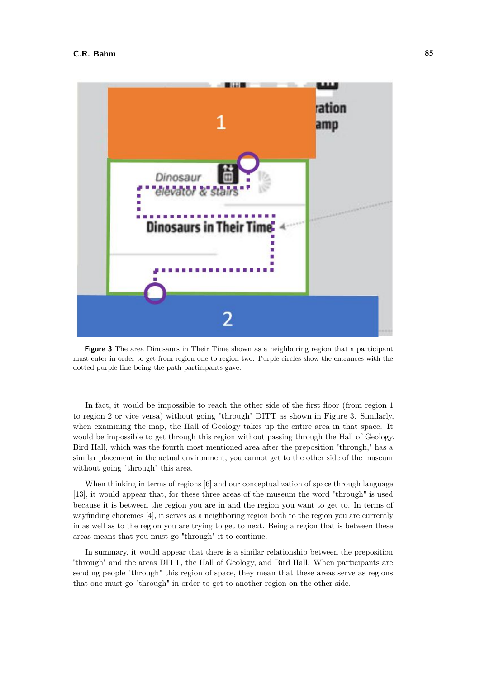

**Figure 3** The area Dinosaurs in Their Time shown as a neighboring region that a participant must enter in order to get from region one to region two. Purple circles show the entrances with the dotted purple line being the path participants gave.

In fact, it would be impossible to reach the other side of the first floor (from region 1 to region 2 or vice versa) without going "through" DITT as shown in Figure 3. Similarly, when examining the map, the Hall of Geology takes up the entire area in that space. It would be impossible to get through this region without passing through the Hall of Geology. Bird Hall, which was the fourth most mentioned area after the preposition "through," has a similar placement in the actual environment, you cannot get to the other side of the museum without going "through" this area.

When thinking in terms of regions [\[6\]](#page-8-1) and our conceptualization of space through language [\[13\]](#page-8-4), it would appear that, for these three areas of the museum the word "through" is used because it is between the region you are in and the region you want to get to. In terms of wayfinding choremes [\[4\]](#page-8-3), it serves as a neighboring region both to the region you are currently in as well as to the region you are trying to get to next. Being a region that is between these areas means that you must go "through" it to continue.

In summary, it would appear that there is a similar relationship between the preposition "through" and the areas DITT, the Hall of Geology, and Bird Hall. When participants are sending people "through" this region of space, they mean that these areas serve as regions that one must go "through" in order to get to another region on the other side.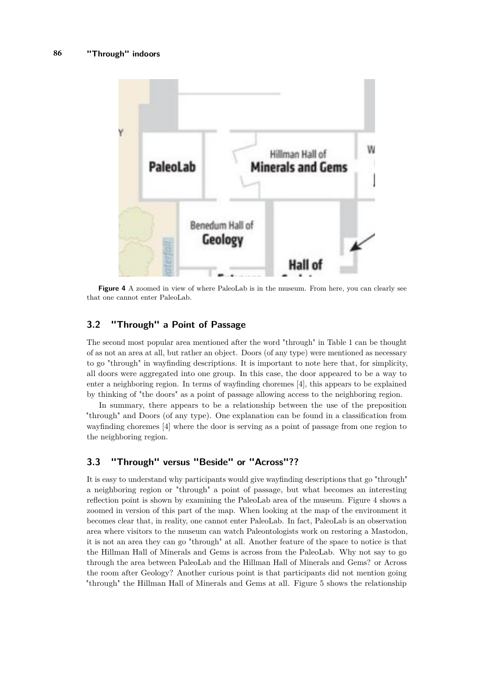

**Figure 4** A zoomed in view of where PaleoLab is in the museum. From here, you can clearly see that one cannot enter PaleoLab.

# **3.2 "Through" a Point of Passage**

The second most popular area mentioned after the word "through" in Table 1 can be thought of as not an area at all, but rather an object. Doors (of any type) were mentioned as necessary to go "through" in wayfinding descriptions. It is important to note here that, for simplicity, all doors were aggregated into one group. In this case, the door appeared to be a way to enter a neighboring region. In terms of wayfinding choremes [\[4\]](#page-8-3), this appears to be explained by thinking of "the doors" as a point of passage allowing access to the neighboring region.

In summary, there appears to be a relationship between the use of the preposition "through" and Doors (of any type). One explanation can be found in a classification from wayfinding choremes [\[4\]](#page-8-3) where the door is serving as a point of passage from one region to the neighboring region.

# **3.3 "Through" versus "Beside" or "Across"??**

It is easy to understand why participants would give wayfinding descriptions that go "through" a neighboring region or "through" a point of passage, but what becomes an interesting reflection point is shown by examining the PaleoLab area of the museum. Figure 4 shows a zoomed in version of this part of the map. When looking at the map of the environment it becomes clear that, in reality, one cannot enter PaleoLab. In fact, PaleoLab is an observation area where visitors to the museum can watch Paleontologists work on restoring a Mastodon, it is not an area they can go "through" at all. Another feature of the space to notice is that the Hillman Hall of Minerals and Gems is across from the PaleoLab. Why not say to go through the area between PaleoLab and the Hillman Hall of Minerals and Gems? or Across the room after Geology? Another curious point is that participants did not mention going "through" the Hillman Hall of Minerals and Gems at all. Figure 5 shows the relationship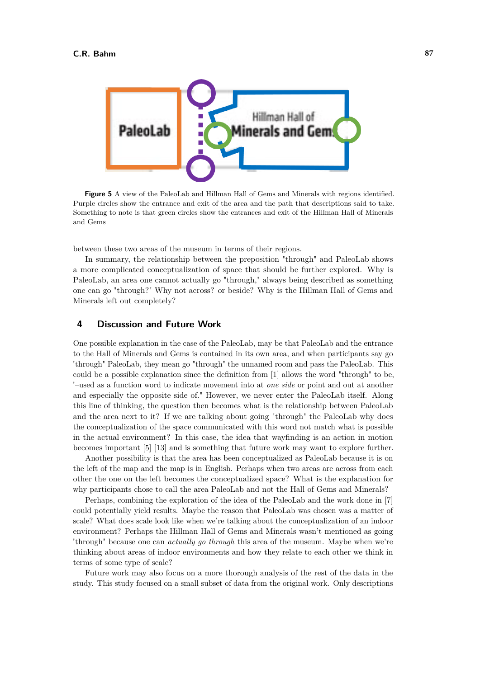

**Figure 5** A view of the PaleoLab and Hillman Hall of Gems and Minerals with regions identified. Purple circles show the entrance and exit of the area and the path that descriptions said to take. Something to note is that green circles show the entrances and exit of the Hillman Hall of Minerals and Gems

between these two areas of the museum in terms of their regions.

In summary, the relationship between the preposition "through" and PaleoLab shows a more complicated conceptualization of space that should be further explored. Why is PaleoLab, an area one cannot actually go "through," always being described as something one can go "through?" Why not across? or beside? Why is the Hillman Hall of Gems and Minerals left out completely?

## **4 Discussion and Future Work**

One possible explanation in the case of the PaleoLab, may be that PaleoLab and the entrance to the Hall of Minerals and Gems is contained in its own area, and when participants say go "through" PaleoLab, they mean go "through" the unnamed room and pass the PaleoLab. This could be a possible explanation since the definition from [\[1\]](#page-7-1) allows the word "through" to be, "–used as a function word to indicate movement into at *one side* or point and out at another and especially the opposite side of." However, we never enter the PaleoLab itself. Along this line of thinking, the question then becomes what is the relationship between PaleoLab and the area next to it? If we are talking about going "through" the PaleoLab why does the conceptualization of the space communicated with this word not match what is possible in the actual environment? In this case, the idea that wayfinding is an action in motion becomes important [\[5\]](#page-8-2) [\[13\]](#page-8-4) and is something that future work may want to explore further.

Another possibility is that the area has been conceptualized as PaleoLab because it is on the left of the map and the map is in English. Perhaps when two areas are across from each other the one on the left becomes the conceptualized space? What is the explanation for why participants chose to call the area PaleoLab and not the Hall of Gems and Minerals?

Perhaps, combining the exploration of the idea of the PaleoLab and the work done in [\[7\]](#page-8-7) could potentially yield results. Maybe the reason that PaleoLab was chosen was a matter of scale? What does scale look like when we're talking about the conceptualization of an indoor environment? Perhaps the Hillman Hall of Gems and Minerals wasn't mentioned as going "through" because one can *actually go through* this area of the museum. Maybe when we're thinking about areas of indoor environments and how they relate to each other we think in terms of some type of scale?

Future work may also focus on a more thorough analysis of the rest of the data in the study. This study focused on a small subset of data from the original work. Only descriptions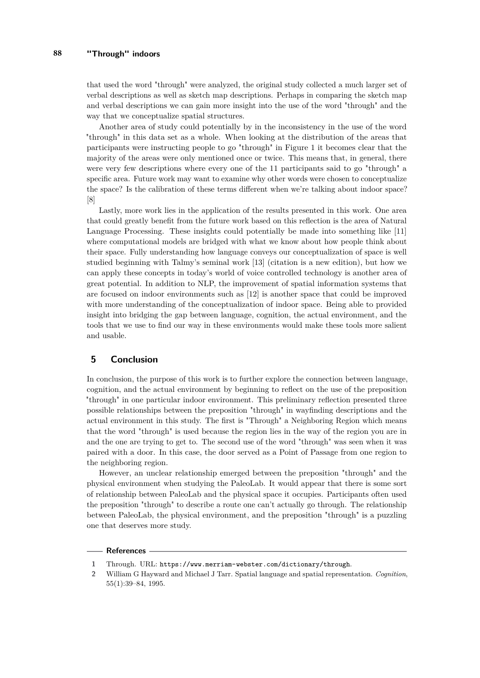that used the word "through" were analyzed, the original study collected a much larger set of verbal descriptions as well as sketch map descriptions. Perhaps in comparing the sketch map and verbal descriptions we can gain more insight into the use of the word "through" and the way that we conceptualize spatial structures.

Another area of study could potentially by in the inconsistency in the use of the word "through" in this data set as a whole. When looking at the distribution of the areas that participants were instructing people to go "through" in Figure 1 it becomes clear that the majority of the areas were only mentioned once or twice. This means that, in general, there were very few descriptions where every one of the 11 participants said to go "through" a specific area. Future work may want to examine why other words were chosen to conceptualize the space? Is the calibration of these terms different when we're talking about indoor space? [\[8\]](#page-8-8)

Lastly, more work lies in the application of the results presented in this work. One area that could greatly benefit from the future work based on this reflection is the area of Natural Language Processing. These insights could potentially be made into something like [\[11\]](#page-8-10) where computational models are bridged with what we know about how people think about their space. Fully understanding how language conveys our conceptualization of space is well studied beginning with Talmy's seminal work [\[13\]](#page-8-4) (citation is a new edition), but how we can apply these concepts in today's world of voice controlled technology is another area of great potential. In addition to NLP, the improvement of spatial information systems that are focused on indoor environments such as [\[12\]](#page-8-11) is another space that could be improved with more understanding of the conceptualization of indoor space. Being able to provided insight into bridging the gap between language, cognition, the actual environment, and the tools that we use to find our way in these environments would make these tools more salient and usable.

# **5 Conclusion**

In conclusion, the purpose of this work is to further explore the connection between language, cognition, and the actual environment by beginning to reflect on the use of the preposition "through" in one particular indoor environment. This preliminary reflection presented three possible relationships between the preposition "through" in wayfinding descriptions and the actual environment in this study. The first is "Through" a Neighboring Region which means that the word "through" is used because the region lies in the way of the region you are in and the one are trying to get to. The second use of the word "through" was seen when it was paired with a door. In this case, the door served as a Point of Passage from one region to the neighboring region.

However, an unclear relationship emerged between the preposition "through" and the physical environment when studying the PaleoLab. It would appear that there is some sort of relationship between PaleoLab and the physical space it occupies. Participants often used the preposition "through" to describe a route one can't actually go through. The relationship between PaleoLab, the physical environment, and the preposition "through" is a puzzling one that deserves more study.

#### **References**

<span id="page-7-1"></span>**<sup>1</sup>** Through. URL: <https://www.merriam-webster.com/dictionary/through>.

<span id="page-7-0"></span>**<sup>2</sup>** William G Hayward and Michael J Tarr. Spatial language and spatial representation. *Cognition*, 55(1):39–84, 1995.